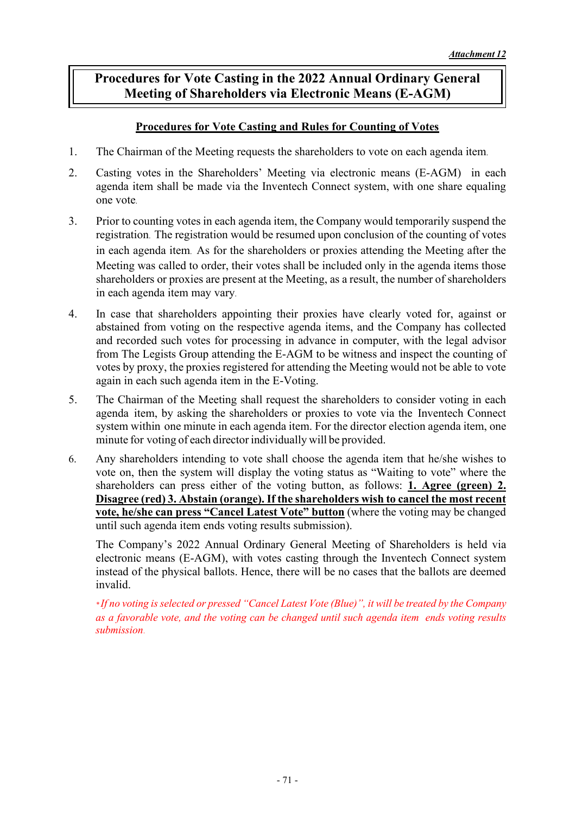## **Procedures for Vote Casting in the 2022 Annual Ordinary General Meeting of Shareholders via Electronic Means (E-AGM)**

## **Procedures for Vote Casting and Rules for Counting of Votes**

- 1. The Chairman of the Meeting requests the shareholders to vote on each agenda item.
- 2. Casting votes in the Shareholders' Meeting via electronic means (E-AGM) in each agenda item shall be made via the Inventech Connect system, with one share equaling one vote.
- 3. Prior to counting votes in each agenda item, the Company would temporarily suspend the registration. The registration would be resumed upon conclusion of the counting of votes in each agenda item. As for the shareholders or proxies attending the Meeting after the Meeting was called to order, their votes shall be included only in the agenda items those shareholders or proxies are present at the Meeting, as a result, the number of shareholders in each agenda item may vary.
- 4. In case that shareholders appointing their proxies have clearly voted for, against or abstained from voting on the respective agenda items, and the Company has collected and recorded such votes for processing in advance in computer, with the legal advisor from The Legists Group attending the E-AGM to be witness and inspect the counting of votes by proxy, the proxies registered for attending the Meeting would not be able to vote again in each such agenda item in the E-Voting.
- 5. The Chairman of the Meeting shall request the shareholders to consider voting in each agenda item, by asking the shareholders or proxies to vote via the Inventech Connect system within one minute in each agenda item. For the director election agenda item, one minute for voting of each director individually will be provided.
- 6. Any shareholders intending to vote shall choose the agenda item that he/she wishes to vote on, then the system will display the voting status as "Waiting to vote" where the shareholders can press either of the voting button, as follows: **1. Agree (green) 2. Disagree (red) 3. Abstain (orange). If the shareholders wish to cancel the most recent vote, he/she can press "Cancel Latest Vote" button** (where the voting may be changed until such agenda item ends voting results submission).

The Company's 2022 Annual Ordinary General Meeting of Shareholders is held via electronic means (E-AGM), with votes casting through the Inventech Connect system instead of the physical ballots. Hence, there will be no cases that the ballots are deemed invalid.

*\* If no voting is selected or pressed "Cancel Latest Vote (Blue)", it will be treated by the Company as a favorable vote, and the voting can be changed until such agenda item ends voting results submission.*